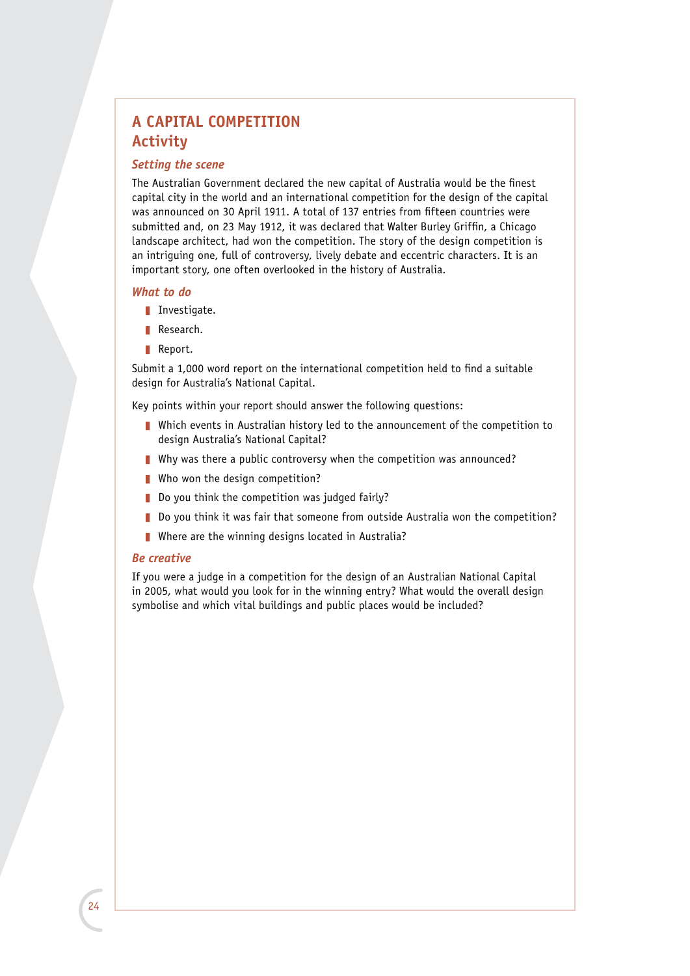## **A CAPITAL COMPETITION Activity**

## *Setting the scene*

The Australian Government declared the new capital of Australia would be the finest capital city in the world and an international competition for the design of the capital was announced on 30 April 1911. A total of 137 entries from fifteen countries were submitted and, on 23 May 1912, it was declared that Walter Burley Griffin, a Chicago landscape architect, had won the competition. The story of the design competition is an intriguing one, full of controversy, lively debate and eccentric characters. It is an important story, one often overlooked in the history of Australia.

#### *What to do*

- Investigate.
- Research.
- Report.

Submit a 1,000 word report on the international competition held to find a suitable design for Australia's National Capital.

Key points within your report should answer the following questions:

- **Number 1** Which events in Australian history led to the announcement of the competition to design Australia's National Capital?
- $\blacksquare$  Why was there a public controversy when the competition was announced?
- $\blacksquare$  Who won the design competition?
- $\blacksquare$  Do you think the competition was judged fairly?
- $\blacksquare$  Do you think it was fair that someone from outside Australia won the competition?
- $\blacksquare$  Where are the winning designs located in Australia?

### *Be creative*

If you were a judge in a competition for the design of an Australian National Capital in 2005, what would you look for in the winning entry? What would the overall design symbolise and which vital buildings and public places would be included?